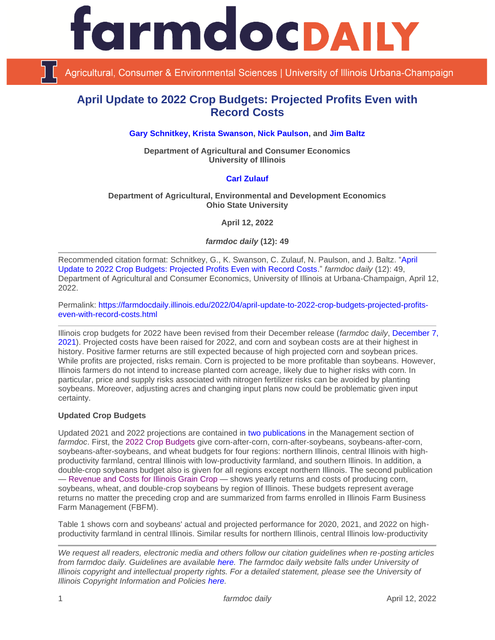

Agricultural, Consumer & Environmental Sciences | University of Illinois Urbana-Champaign

# **April Update to 2022 Crop Budgets: Projected Profits Even with Record Costs**

**[Gary Schnitkey,](https://ace.illinois.edu/directory/schnitke) [Krista Swanson,](https://ace.illinois.edu/directory/krista) [Nick Paulson,](https://ace.illinois.edu/directory/npaulson) and [Jim Baltz](https://ace.illinois.edu/directory/jhbaltz)**

**Department of Agricultural and Consumer Economics University of Illinois**

## **[Carl Zulauf](http://aede.osu.edu/our-people/carl-zulauf)**

## **Department of Agricultural, Environmental and Development Economics Ohio State University**

**April 12, 2022**

*farmdoc daily* **(12): 49**

Recommended citation format: Schnitkey, G., K. Swanson, C. Zulauf, N. Paulson, and J. Baltz. ["April](https://farmdocdaily.illinois.edu/2022/04/april-update-to-2022-crop-budgets-projected-profits-even-with-record-costs.html)  [Update to 2022 Crop Budgets: Projected Profits Even with Record Costs.](https://farmdocdaily.illinois.edu/2022/04/april-update-to-2022-crop-budgets-projected-profits-even-with-record-costs.html)" *farmdoc daily* (12): 49, Department of Agricultural and Consumer Economics, University of Illinois at Urbana-Champaign, April 12, 2022.

Permalink: [https://farmdocdaily.illinois.edu/2022/04/april-update-to-2022-crop-budgets-projected-profits](https://farmdocdaily.illinois.edu/2022/04/april-update-to-2022-crop-budgets-projected-profits-even-with-record-costs.html)[even-with-record-costs.html](https://farmdocdaily.illinois.edu/2022/04/april-update-to-2022-crop-budgets-projected-profits-even-with-record-costs.html)

Illinois crop budgets for 2022 have been revised from their December release (*farmdoc daily*, [December 7,](https://farmdocdaily.illinois.edu/2021/12/2022-updated-crop-budgets.html)  [2021\)](https://farmdocdaily.illinois.edu/2021/12/2022-updated-crop-budgets.html). Projected costs have been raised for 2022, and corn and soybean costs are at their highest in history. Positive farmer returns are still expected because of high projected corn and soybean prices. While profits are projected, risks remain. Corn is projected to be more profitable than soybeans. However, Illinois farmers do not intend to increase planted corn acreage, likely due to higher risks with corn. In particular, price and supply risks associated with nitrogen fertilizer risks can be avoided by planting soybeans. Moreover, adjusting acres and changing input plans now could be problematic given input certainty.

## **Updated Crop Budgets**

Updated 2021 and 2022 projections are contained in [two publications](https://farmdoc.illinois.edu/management#handbook-crop-budgets) in the Management section of *farmdoc*. First, the [2022 Crop Budgets](https://farmdoc.illinois.edu/handbook/2022-budgets-for-all-regions) give corn-after-corn, corn-after-soybeans, soybeans-after-corn, soybeans-after-soybeans, and wheat budgets for four regions: northern Illinois, central Illinois with highproductivity farmland, central Illinois with low-productivity farmland, and southern Illinois. In addition, a double-crop soybeans budget also is given for all regions except northern Illinois. The second publication — [Revenue and Costs for Illinois Grain Crop](https://farmdoc.illinois.edu/handbook/historic-corn-soybeans-wheat-and-double-crop-soybeans) — shows yearly returns and costs of producing corn, soybeans, wheat, and double-crop soybeans by region of Illinois. These budgets represent average returns no matter the preceding crop and are summarized from farms enrolled in Illinois Farm Business Farm Management (FBFM).

Table 1 shows corn and soybeans' actual and projected performance for 2020, 2021, and 2022 on highproductivity farmland in central Illinois. Similar results for northern Illinois, central Illinois low-productivity

*We request all readers, electronic media and others follow our citation guidelines when re-posting articles from farmdoc daily. Guidelines are available [here.](http://farmdocdaily.illinois.edu/citationguide.html) The farmdoc daily website falls under University of Illinois copyright and intellectual property rights. For a detailed statement, please see the University of Illinois Copyright Information and Policies [here.](http://www.cio.illinois.edu/policies/copyright/)*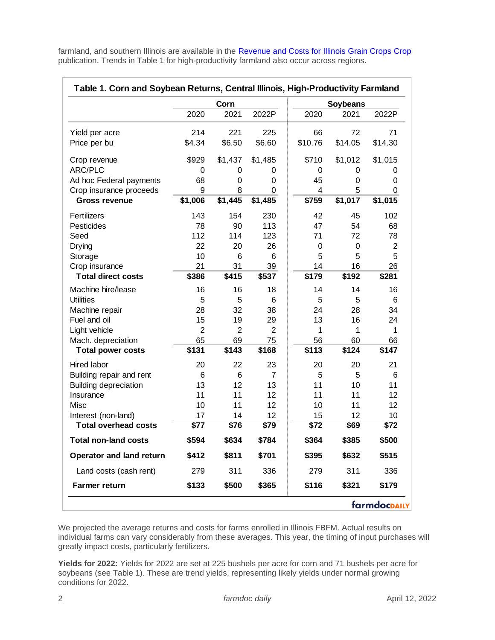farmland, and southern Illinois are available in the [Revenue and Costs for Illinois Grain Crops](https://farmdoc.illinois.edu/handbook/historic-corn-soybeans-wheat-and-double-crop-soybeans) Crop publication. Trends in Table 1 for high-productivity farmland also occur across regions.

|                                 | Table 1. Corn and Soybean Returns, Central Illinois, High-Productivity Farmland |                |                 |                |                         |                |
|---------------------------------|---------------------------------------------------------------------------------|----------------|-----------------|----------------|-------------------------|----------------|
|                                 | 2020                                                                            | Corn<br>2021   | 2022P           | 2020           | <b>Soybeans</b><br>2021 | 2022P          |
| Yield per acre                  | 214                                                                             | 221            | 225             | 66             | 72                      | 71             |
| Price per bu                    | \$4.34                                                                          | \$6.50         | \$6.60          | \$10.76        | \$14.05                 | \$14.30        |
| Crop revenue                    | \$929                                                                           | \$1,437        | \$1,485         | \$710          | \$1,012                 | \$1,015        |
| ARC/PLC                         | 0                                                                               | 0              | 0               | 0              | 0                       | 0              |
| Ad hoc Federal payments         | 68                                                                              | 0              | 0               | 45             | 0                       | 0              |
| Crop insurance proceeds         | 9                                                                               | 8              | 0               | $\overline{4}$ | 5                       | $\mathbf 0$    |
| <b>Gross revenue</b>            | \$1,006                                                                         | \$1,445        | \$1,485         | \$759          | \$1,017                 | \$1,015        |
| Fertilizers                     | 143                                                                             | 154            | 230             | 42             | 45                      | 102            |
| Pesticides                      | 78                                                                              | 90             | 113             | 47             | 54                      | 68             |
| Seed                            | 112                                                                             | 114            | 123             | 71             | 72                      | 78             |
| Drying                          | 22                                                                              | 20             | 26              | 0              | 0                       | $\overline{2}$ |
| Storage                         | 10                                                                              | 6              | 6               | 5              | 5                       | 5              |
| Crop insurance                  | 21                                                                              | 31             | 39              | 14             | 16                      | 26             |
| <b>Total direct costs</b>       | \$386                                                                           | \$415          | \$537           | \$179          | \$192                   | \$281          |
| Machine hire/lease              | 16                                                                              | 16             | 18              | 14             | 14                      | 16             |
| <b>Utilities</b>                | 5                                                                               | 5              | 6               | 5              | 5                       | 6              |
| Machine repair                  | 28                                                                              | 32             | 38              | 24             | 28                      | 34             |
| Fuel and oil                    | 15                                                                              | 19             | 29              | 13             | 16                      | 24             |
| Light vehicle                   | $\overline{2}$                                                                  | $\overline{2}$ | $\overline{2}$  | 1              | 1                       | 1              |
| Mach. depreciation              | 65                                                                              | 69             | 75              | 56             | 60                      | 66             |
| <b>Total power costs</b>        | \$131                                                                           | \$143          | \$168           | \$113          | \$124                   | \$147          |
| Hired labor                     | 20                                                                              | 22             | 23              | 20             | 20                      | 21             |
| Building repair and rent        | 6                                                                               | 6              | $\overline{7}$  | 5              | 5                       | 6              |
| <b>Building depreciation</b>    | 13                                                                              | 12             | 13              | 11             | 10                      | 11             |
| Insurance                       | 11                                                                              | 11             | 12              | 11             | 11                      | 12             |
| Misc                            | 10                                                                              | 11             | 12              | 10             | 11                      | 12             |
| Interest (non-land)             | 17                                                                              | 14             | 12 <sub>2</sub> | 15             | 12                      | 10             |
| <b>Total overhead costs</b>     | \$77                                                                            | \$76           | \$79            | \$72           | \$69                    | \$72           |
| <b>Total non-land costs</b>     | \$594                                                                           | \$634          | \$784           | \$364          | \$385                   | \$500          |
| <b>Operator and land return</b> | \$412                                                                           | \$811          | \$701           | \$395          | \$632                   | \$515          |
| Land costs (cash rent)          | 279                                                                             | 311            | 336             | 279            | 311                     | 336            |
| <b>Farmer return</b>            | \$133                                                                           | \$500          | \$365           | \$116          | \$321                   | \$179          |

We projected the average returns and costs for farms enrolled in Illinois FBFM. Actual results on individual farms can vary considerably from these averages. This year, the timing of input purchases will greatly impact costs, particularly fertilizers.

**Yields for 2022:** Yields for 2022 are set at 225 bushels per acre for corn and 71 bushels per acre for soybeans (see Table 1). These are trend yields, representing likely yields under normal growing conditions for 2022.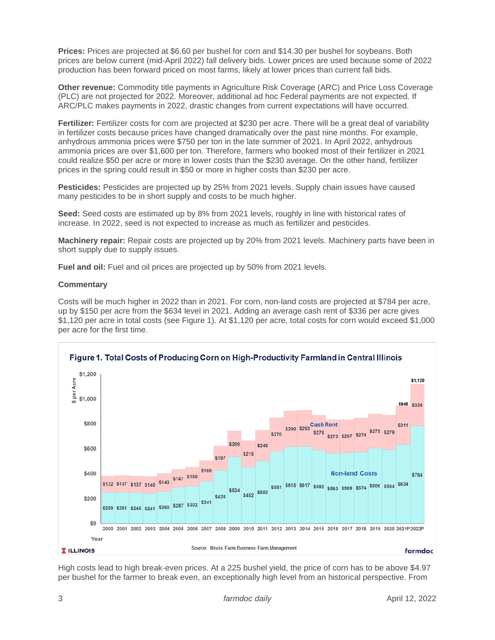**Prices:** Prices are projected at \$6.60 per bushel for corn and \$14.30 per bushel for soybeans. Both prices are below current (mid-April 2022) fall delivery bids. Lower prices are used because some of 2022 production has been forward priced on most farms, likely at lower prices than current fall bids.

**Other revenue:** Commodity title payments in Agriculture Risk Coverage (ARC) and Price Loss Coverage (PLC) are not projected for 2022. Moreover, additional ad hoc Federal payments are not expected. If ARC/PLC makes payments in 2022, drastic changes from current expectations will have occurred.

**Fertilizer:** Fertilizer costs for corn are projected at \$230 per acre. There will be a great deal of variability in fertilizer costs because prices have changed dramatically over the past nine months. For example, anhydrous ammonia prices were \$750 per ton in the late summer of 2021. In April 2022, anhydrous ammonia prices are over \$1,600 per ton. Therefore, farmers who booked most of their fertilizer in 2021 could realize \$50 per acre or more in lower costs than the \$230 average. On the other hand, fertilizer prices in the spring could result in \$50 or more in higher costs than \$230 per acre.

**Pesticides:** Pesticides are projected up by 25% from 2021 levels. Supply chain issues have caused many pesticides to be in short supply and costs to be much higher.

**Seed:** Seed costs are estimated up by 8% from 2021 levels, roughly in line with historical rates of increase. In 2022, seed is not expected to increase as much as fertilizer and pesticides.

**Machinery repair:** Repair costs are projected up by 20% from 2021 levels. Machinery parts have been in short supply due to supply issues.

**Fuel and oil:** Fuel and oil prices are projected up by 50% from 2021 levels.

## **Commentary**

Costs will be much higher in 2022 than in 2021. For corn, non-land costs are projected at \$784 per acre, up by \$150 per acre from the \$634 level in 2021. Adding an average cash rent of \$336 per acre gives \$1,120 per acre in total costs (see Figure 1). At \$1,120 per acre, total costs for corn would exceed \$1,000 per acre for the first time.



High costs lead to high break-even prices. At a 225 bushel yield, the price of corn has to be above \$4.97 per bushel for the farmer to break even, an exceptionally high level from an historical perspective. From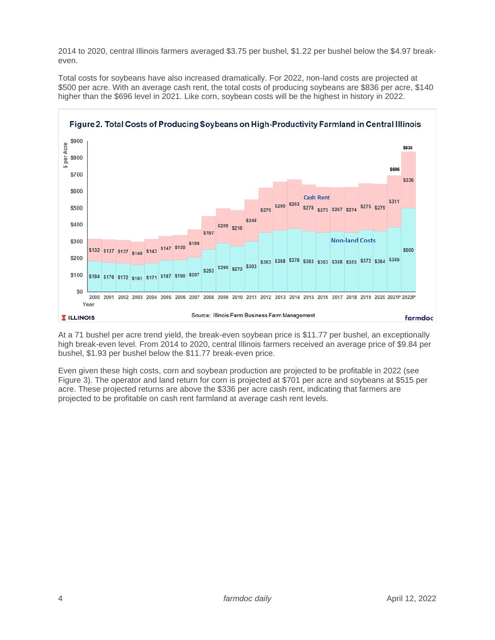2014 to 2020, central Illinois farmers averaged \$3.75 per bushel, \$1.22 per bushel below the \$4.97 breakeven.

Total costs for soybeans have also increased dramatically. For 2022, non-land costs are projected at \$500 per acre. With an average cash rent, the total costs of producing soybeans are \$836 per acre, \$140 higher than the \$696 level in 2021. Like corn, soybean costs will be the highest in history in 2022.



At a 71 bushel per acre trend yield, the break-even soybean price is \$11.77 per bushel, an exceptionally high break-even level. From 2014 to 2020, central Illinois farmers received an average price of \$9.84 per bushel, \$1.93 per bushel below the \$11.77 break-even price.

Even given these high costs, corn and soybean production are projected to be profitable in 2022 (see Figure 3). The operator and land return for corn is projected at \$701 per acre and soybeans at \$515 per acre. These projected returns are above the \$336 per acre cash rent, indicating that farmers are projected to be profitable on cash rent farmland at average cash rent levels.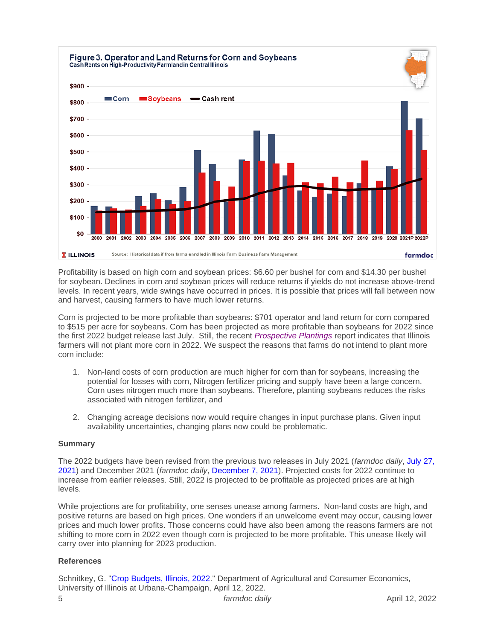

Profitability is based on high corn and soybean prices: \$6.60 per bushel for corn and \$14.30 per bushel for soybean. Declines in corn and soybean prices will reduce returns if yields do not increase above-trend levels. In recent years, wide swings have occurred in prices. It is possible that prices will fall between now and harvest, causing farmers to have much lower returns.

Corn is projected to be more profitable than soybeans: \$701 operator and land return for corn compared to \$515 per acre for soybeans. Corn has been projected as more profitable than soybeans for 2022 since the first 2022 budget release last July. Still, the recent *[Prospective Plantings](https://downloads.usda.library.cornell.edu/usda-esmis/files/x633f100h/t148gn52h/4b29cb406/pspl0322.pdf)* report indicates that Illinois farmers will not plant more corn in 2022. We suspect the reasons that farms do not intend to plant more corn include:

- 1. Non-land costs of corn production are much higher for corn than for soybeans, increasing the potential for losses with corn, Nitrogen fertilizer pricing and supply have been a large concern. Corn uses nitrogen much more than soybeans. Therefore, planting soybeans reduces the risks associated with nitrogen fertilizer, and
- 2. Changing acreage decisions now would require changes in input purchase plans. Given input availability uncertainties, changing plans now could be problematic.

## **Summary**

The 2022 budgets have been revised from the previous two releases in July 2021 (*farmdoc daily*, [July 27,](https://farmdocdaily.illinois.edu/2021/07/2022-crop-budgets-contain-higher-costs.html)  [2021\)](https://farmdocdaily.illinois.edu/2021/07/2022-crop-budgets-contain-higher-costs.html) and December 2021 (*farmdoc daily*, [December 7, 2021\)](https://farmdocdaily.illinois.edu/2021/12/2022-updated-crop-budgets.html). Projected costs for 2022 continue to increase from earlier releases. Still, 2022 is projected to be profitable as projected prices are at high levels.

While projections are for profitability, one senses unease among farmers. Non-land costs are high, and positive returns are based on high prices. One wonders if an unwelcome event may occur, causing lower prices and much lower profits. Those concerns could have also been among the reasons farmers are not shifting to more corn in 2022 even though corn is projected to be more profitable. This unease likely will carry over into planning for 2023 production.

## **References**

Schnitkey, G. ["Crop Budgets,](https://farmdoc.illinois.edu/handbook/2022-budgets-for-all-regions) Illinois, 2022." Department of Agricultural and Consumer Economics, University of Illinois at Urbana-Champaign, April 12, 2022.